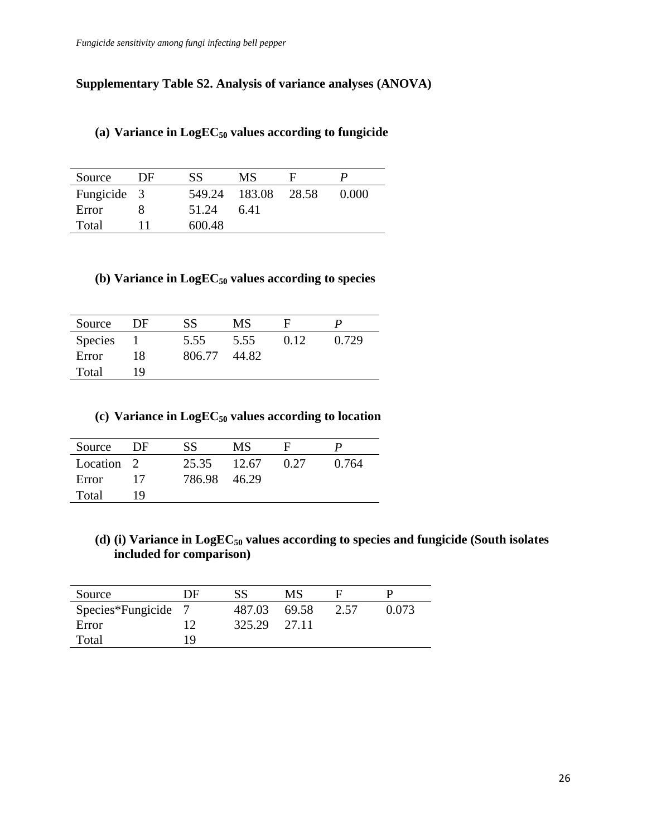# **Supplementary Table S2. Analysis of variance analyses (ANOVA)**

| Source      | DF | SS     | MS            |       |       |
|-------------|----|--------|---------------|-------|-------|
| Fungicide 3 |    |        | 549.24 183.08 | 28.58 | 0.000 |
| Error       |    | 51.24  | 6.41          |       |       |
| Total       |    | 600.48 |               |       |       |

#### **(a) Variance in LogEC<sup>50</sup> values according to fungicide**

# **(b) Variance in LogEC<sup>50</sup> values according to species**

| Source         | DF | SS     | MS    | н    |       |
|----------------|----|--------|-------|------|-------|
| <b>Species</b> |    | 5.55   | 5.55  | 0.12 | 0.729 |
| Error          | 18 | 806.77 | 44.82 |      |       |
| Total          | 19 |        |       |      |       |

### **(c) Variance in LogEC<sup>50</sup> values according to location**

| Source     | DF | SS           | MS    | н    |       |
|------------|----|--------------|-------|------|-------|
| Location 2 |    | 25.35        | 12.67 | 0.27 | 0.764 |
| Error      | 17 | 786.98 46.29 |       |      |       |
| Total      | 19 |              |       |      |       |

**(d) (i) Variance in LogEC<sup>50</sup> values according to species and fungicide (South isolates included for comparison)**

| Source            | DE | SS           | MS    |      |       |
|-------------------|----|--------------|-------|------|-------|
| Species*Fungicide |    | 487.03       | 69.58 | 2.57 | 0.073 |
| Error             | 1つ | 325.29 27.11 |       |      |       |
| Total             | 19 |              |       |      |       |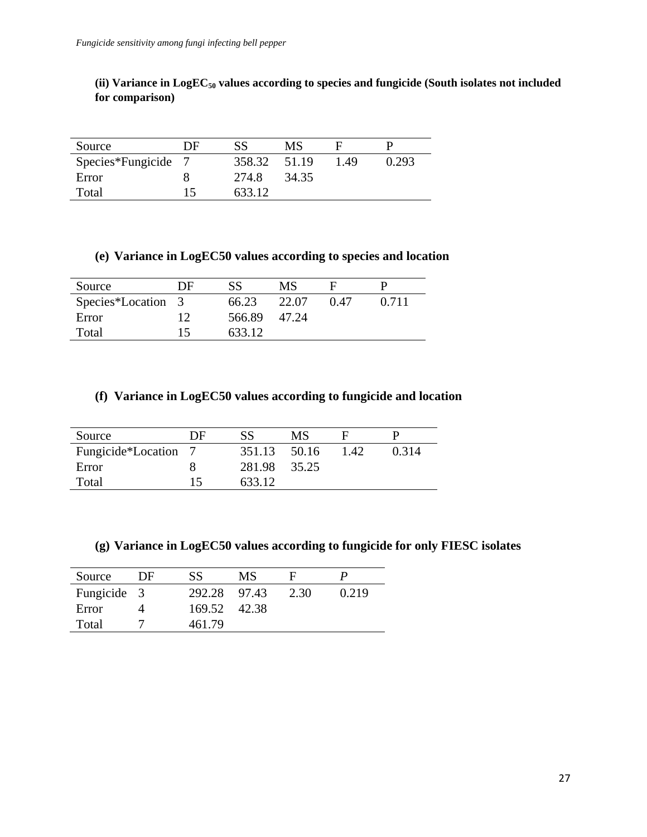**(ii) Variance in LogEC<sup>50</sup> values according to species and fungicide (South isolates not included for comparison)**

| Source            | DE | SS     | MS    |      |       |
|-------------------|----|--------|-------|------|-------|
| Species*Fungicide |    | 358.32 | 51.19 | 1.49 | 0.293 |
| Error             |    | 274.8  | 34.35 |      |       |
| Total             | 15 | 633.12 |       |      |       |

### **(e) Variance in LogEC50 values according to species and location**

| Source             | DF | SS     | MS    |      |       |
|--------------------|----|--------|-------|------|-------|
| Species*Location 3 |    | 66.23  | 22.07 | 0.47 | 0.711 |
| Error              | 12 | 566.89 | 47.24 |      |       |
| Total              | 15 | 633.12 |       |      |       |

### **(f) Variance in LogEC50 values according to fungicide and location**

| Source               | DF | SS     | MS    | н    |       |
|----------------------|----|--------|-------|------|-------|
| Fungicide*Location 7 |    | 351.13 | 50.16 | 1.42 | 0.314 |
| Error                |    | 281.98 | 35.25 |      |       |
| Total                |    | 633.12 |       |      |       |

**(g) Variance in LogEC50 values according to fungicide for only FIESC isolates**

| Source      | DF | SS           | MS    |      |       |
|-------------|----|--------------|-------|------|-------|
| Fungicide 3 |    | 292.28 97.43 |       | 2.30 | 0.219 |
| Error       |    | 169.52       | 42.38 |      |       |
| Total       |    | 461.79       |       |      |       |